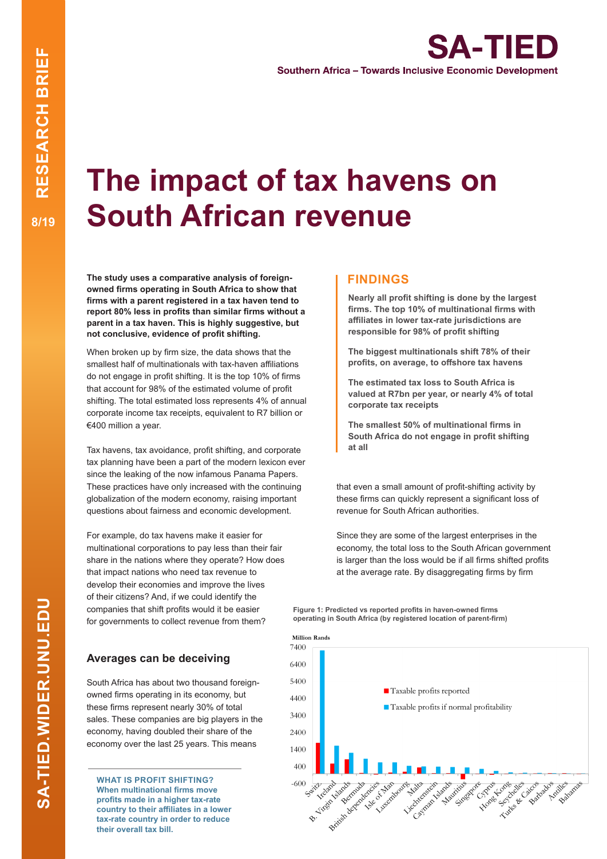## **The impact of tax havens on South African revenue**

**The study uses a comparative analysis of foreignowned firms operating in South Africa to show that firms with a parent registered in a tax haven tend to report 80% less in profits than similar firms without a parent in a tax haven. This is highly suggestive, but not conclusive, evidence of profit shifting.** 

When broken up by firm size, the data shows that the smallest half of multinationals with tax-haven affiliations do not engage in profit shifting. It is the top 10% of firms that account for 98% of the estimated volume of profit shifting. The total estimated loss represents 4% of annual corporate income tax receipts, equivalent to R7 billion or €400 million a year.

Tax havens, tax avoidance, profit shifting, and corporate tax planning have been a part of the modern lexicon ever since the leaking of the now infamous Panama Papers. These practices have only increased with the continuing globalization of the modern economy, raising important questions about fairness and economic development.

For example, do tax havens make it easier for multinational corporations to pay less than their fair share in the nations where they operate? How does that impact nations who need tax revenue to develop their economies and improve the lives of their citizens? And, if we could identify the companies that shift profits would it be easier for governments to collect revenue from them?

#### **Averages can be deceiving**

South Africa has about two thousand foreignowned firms operating in its economy, but these firms represent nearly 30% of total sales. These companies are big players in the economy, having doubled their share of the economy over the last 25 years. This means

**WHAT IS PROFIT SHIFTING? When multinational firms move profits made in a higher tax-rate country to their affiliates in a lower tax-rate country in order to reduce their overall tax bill.**

#### **FINDINGS**

**Nearly all profit shifting is done by the largest firms. The top 10% of multinational firms with affiliates in lower tax-rate jurisdictions are responsible for 98% of profit shifting** 

**The biggest multinationals shift 78% of their profits, on average, to offshore tax havens**

**The estimated tax loss to South Africa is valued at R7bn per year, or nearly 4% of total corporate tax receipts**

**The smallest 50% of multinational firms in South Africa do not engage in profit shifting at all** 

that even a small amount of profit-shifting activity by these firms can quickly represent a significant loss of revenue for South African authorities.

Since they are some of the largest enterprises in the economy, the total loss to the South African government is larger than the loss would be if all firms shifted profits at the average rate. By disaggregating firms by firm

**Figure 1: Predicted vs reported profits in haven-owned firms**  operating in South Africa (by registered location of parent-firm)<br>————————————————————